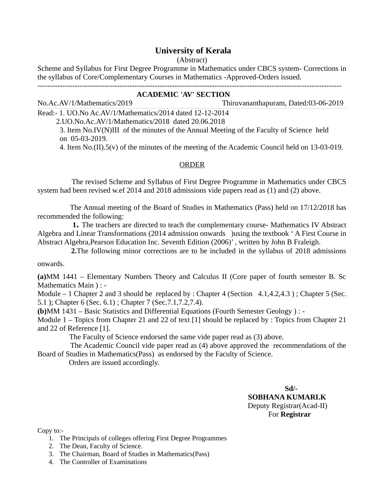## **University of Kerala**

(Abstract)

Scheme and Syllabus for First Degree Programme in Mathematics under CBCS system- Corrections in the syllabus of Core/Complementary Courses in Mathematics -Approved-Orders issued.

--------------------------------------------------------------------------------------------------------------------------

## **ACADEMIC 'AV' SECTION**

No.Ac.AV/1/Mathematics/2019 Thiruvananthapuram, Dated:03-06-2019

Read:- 1. UO.No Ac.AV/1/Mathematics/2014 dated 12-12-2014

2.UO.No.Ac.AV/1/Mathematics/2018 dated 20.06.2018

3. Item No.IV(N)III of the minutes of the Annual Meeting of the Faculty of Science held on 05-03-2019.

4. Item No.(II).5(v) of the minutes of the meeting of the Academic Council held on 13-03-019.

## ORDER

 The revised Scheme and Syllabus of First Degree Programme in Mathematics under CBCS system had been revised w.ef 2014 and 2018 admissions vide papers read as (1) and (2) above.

 The Annual meeting of the Board of Studies in Mathematics (Pass) held on 17/12/2018 has recommended the following:

 **1.** The teachers are directed to teach the complementary course- Mathematics IV Abstract Algebra and Linear Transformations (2014 admission onwards )using the textbook ' A First Course in Abstract Algebra,Pearson Education Inc. Seventh Edition (2006)' , written by John B Fraleigh.

**2.**The following minor corrections are to be included in the syllabus of 2018 admissions

onwards.

**(a)**MM 1441 – Elementary Numbers Theory and Calculus II (Core paper of fourth semester B. Sc Mathematics Main ) : -

Module – 1 Chapter 2 and 3 should be replaced by : Chapter 4 (Section 4.1,4.2,4.3 ) ; Chapter 5 (Sec. 5.1 ); Chapter 6 (Sec. 6.1) ; Chapter 7 (Sec.7.1,7.2,7.4).

**(b)**MM 1431 – Basic Statistics and Differential Equations (Fourth Semester Geology ) : -

Module 1 – Topics from Chapter 21 and 22 of text [1] should be replaced by : Topics from Chapter 21 and 22 of Reference [1].

The Faculty of Science endorsed the same vide paper read as (3) above.

 The Academic Council vide paper read as (4) above approved the recommendations of the Board of Studies in Mathematics(Pass) as endorsed by the Faculty of Science.

Orders are issued accordingly.

 **Sd/- SOBHANA KUMARI.K** Deputy Registrar(Acad-II) For **Registrar**

Copy to:-

- 1. The Principals of colleges offering First Degree Programmes
- 2. The Dean, Faculty of Science.
- 3. The Chairman, Board of Studies in Mathematics(Pass)
- 4. The Controller of Examinations